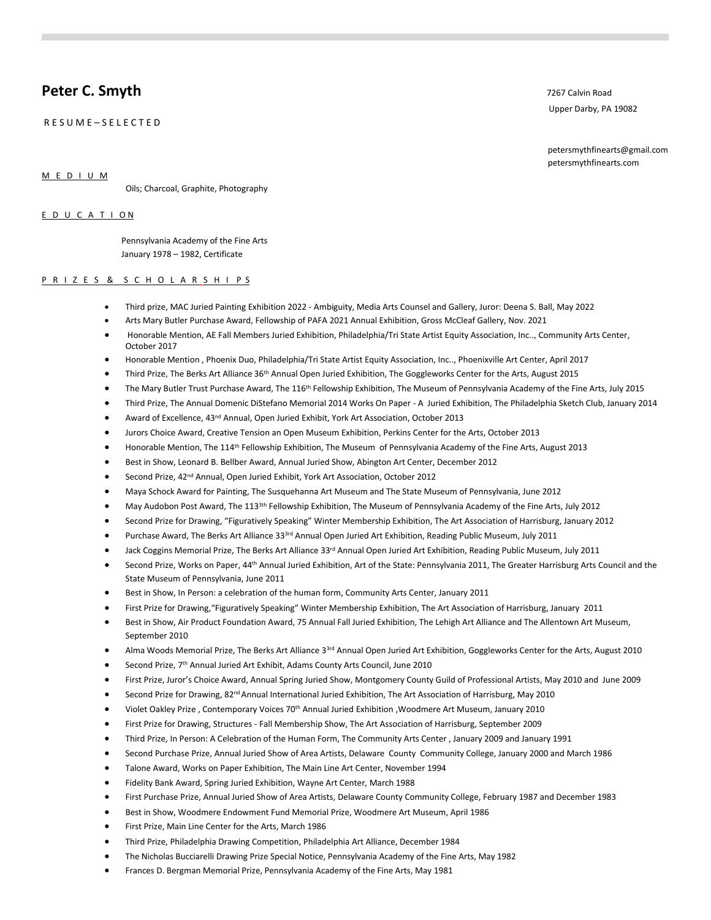# **Peter C. Smyth** 7267 Calvin Road **Peter C. Smyth**

R E S U M E – S E L E C T E D

Upper Darby, PA 19082

 petersmythfinearts@gmail.com petersmythfinearts.com

M E D I U M

Oils; Charcoal, Graphite, Photography

### E D U C A T I O N

 Pennsylvania Academy of the Fine Arts January 1978 – 1982, Certificate

## P R I Z E S & S C H O L A R S H I P S

- Third prize, MAC Juried Painting Exhibition 2022 Ambiguity, Media Arts Counsel and Gallery, Juror: Deena S. Ball, May 2022
- Arts Mary Butler Purchase Award, Fellowship of PAFA 2021 Annual Exhibition, Gross McCleaf Gallery, Nov. 2021
- Honorable Mention, AE Fall Members Juried Exhibition, Philadelphia/Tri State Artist Equity Association, Inc.., Community Arts Center, October 2017
- Honorable Mention , Phoenix Duo, Philadelphia/Tri State Artist Equity Association, Inc.., Phoenixville Art Center, April 2017
- Third Prize, The Berks Art Alliance 36th Annual Open Juried Exhibition, The Goggleworks Center for the Arts, August 2015
- The Mary Butler Trust Purchase Award, The 116<sup>th</sup> Fellowship Exhibition, The Museum of Pennsylvania Academy of the Fine Arts, July 2015
- Third Prize, The Annual Domenic DiStefano Memorial 2014 Works On Paper A Juried Exhibition, The Philadelphia Sketch Club, January 2014
- Award of Excellence, 43<sup>nd</sup> Annual, Open Juried Exhibit, York Art Association, October 2013
- Jurors Choice Award, Creative Tension an Open Museum Exhibition, Perkins Center for the Arts, October 2013
- Honorable Mention, The 114th Fellowship Exhibition, The Museum of Pennsylvania Academy of the Fine Arts, August 2013
- Best in Show, Leonard B. Bellber Award, Annual Juried Show, Abington Art Center, December 2012
- Second Prize, 42nd Annual, Open Juried Exhibit, York Art Association, October 2012
- Maya Schock Award for Painting, The Susquehanna Art Museum and The State Museum of Pennsylvania, June 2012
- May Audobon Post Award, The 113<sup>3th</sup> Fellowship Exhibition, The Museum of Pennsylvania Academy of the Fine Arts, July 2012
- Second Prize for Drawing, "Figuratively Speaking" Winter Membership Exhibition, The Art Association of Harrisburg, January 2012
- Purchase Award, The Berks Art Alliance 33<sup>3rd</sup> Annual Open Juried Art Exhibition, Reading Public Museum, July 2011
- Jack Coggins Memorial Prize, The Berks Art Alliance 33<sup>rd</sup> Annual Open Juried Art Exhibition, Reading Public Museum, July 2011
- Second Prize, Works on Paper, 44<sup>th</sup> Annual Juried Exhibition, Art of the State: Pennsylvania 2011, The Greater Harrisburg Arts Council and the State Museum of Pennsylvania, June 2011
- Best in Show, In Person: a celebration of the human form, Community Arts Center, January 2011
- First Prize for Drawing,"Figuratively Speaking" Winter Membership Exhibition, The Art Association of Harrisburg, January 2011
- Best in Show, Air Product Foundation Award, 75 Annual Fall Juried Exhibition, The Lehigh Art Alliance and The Allentown Art Museum, September 2010
- Alma Woods Memorial Prize, The Berks Art Alliance 3<sup>3rd</sup> Annual Open Juried Art Exhibition, Goggleworks Center for the Arts, August 2010
- Second Prize, 7<sup>th</sup> Annual Juried Art Exhibit, Adams County Arts Council, June 2010
- First Prize, Juror's Choice Award, Annual Spring Juried Show, Montgomery County Guild of Professional Artists, May 2010 and June 2009
- Second Prize for Drawing, 82<sup>nd</sup> Annual International Juried Exhibition, The Art Association of Harrisburg, May 2010
- Violet Oakley Prize , Contemporary Voices 70th Annual Juried Exhibition ,Woodmere Art Museum, January 2010
- First Prize for Drawing, Structures Fall Membership Show, The Art Association of Harrisburg, September 2009
- Third Prize, In Person: A Celebration of the Human Form, The Community Arts Center , January 2009 and January 1991
- Second Purchase Prize, Annual Juried Show of Area Artists, Delaware County Community College, January 2000 and March 1986
- Talone Award, Works on Paper Exhibition, The Main Line Art Center, November 1994
- Fidelity Bank Award, Spring Juried Exhibition, Wayne Art Center, March 1988
- First Purchase Prize, Annual Juried Show of Area Artists, Delaware County Community College, February 1987 and December 1983
- Best in Show, Woodmere Endowment Fund Memorial Prize, Woodmere Art Museum, April 1986
- First Prize, Main Line Center for the Arts, March 1986
- Third Prize, Philadelphia Drawing Competition, Philadelphia Art Alliance, December 1984
- The Nicholas Bucciarelli Drawing Prize Special Notice, Pennsylvania Academy of the Fine Arts, May 1982
- Frances D. Bergman Memorial Prize, Pennsylvania Academy of the Fine Arts, May 1981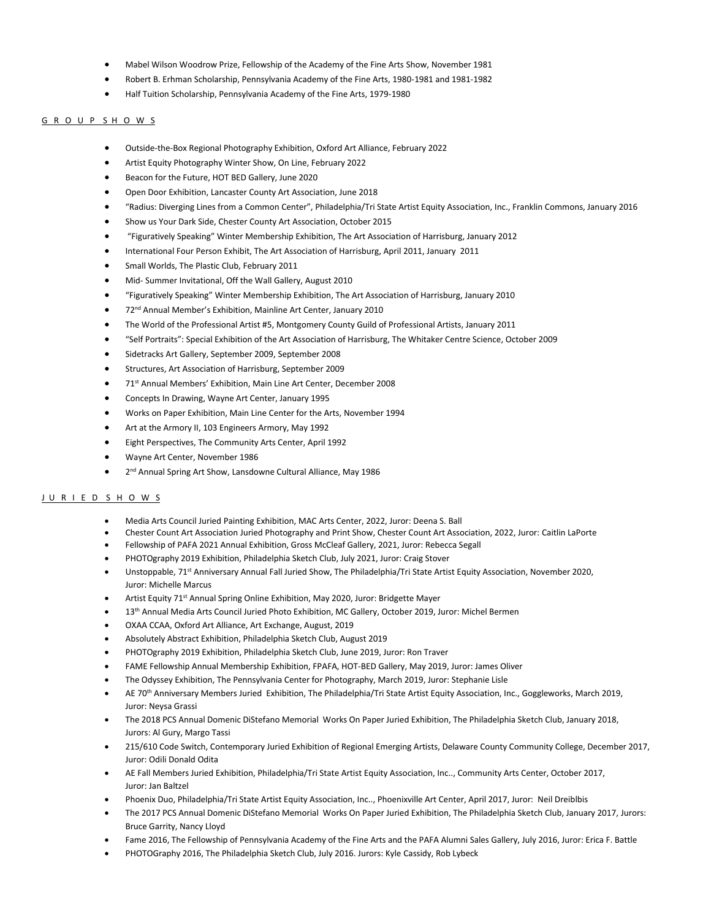- Mabel Wilson Woodrow Prize, Fellowship of the Academy of the Fine Arts Show, November 1981
- Robert B. Erhman Scholarship, Pennsylvania Academy of the Fine Arts, 1980-1981 and 1981-1982
- Half Tuition Scholarship, Pennsylvania Academy of the Fine Arts, 1979-1980

#### G R O U P S H O W S

- Outside-the-Box Regional Photography Exhibition, Oxford Art Alliance, February 2022
- Artist Equity Photography Winter Show, On Line, February 2022
- Beacon for the Future, HOT BED Gallery, June 2020
- Open Door Exhibition, Lancaster County Art Association, June 2018
- "Radius: Diverging Lines from a Common Center", Philadelphia/Tri State Artist Equity Association, Inc., Franklin Commons, January 2016
- Show us Your Dark Side, Chester County Art Association, October 2015
- "Figuratively Speaking" Winter Membership Exhibition, The Art Association of Harrisburg, January 2012
- International Four Person Exhibit, The Art Association of Harrisburg, April 2011, January 2011
- Small Worlds, The Plastic Club, February 2011
- Mid- Summer Invitational, Off the Wall Gallery, August 2010
- "Figuratively Speaking" Winter Membership Exhibition, The Art Association of Harrisburg, January 2010
- 72nd Annual Member's Exhibition, Mainline Art Center, January 2010
- The World of the Professional Artist #5, Montgomery County Guild of Professional Artists, January 2011
- "Self Portraits": Special Exhibition of the Art Association of Harrisburg, The Whitaker Centre Science, October 2009
- Sidetracks Art Gallery, September 2009, September 2008
- Structures, Art Association of Harrisburg, September 2009
- 71st Annual Members' Exhibition, Main Line Art Center, December 2008
- Concepts In Drawing, Wayne Art Center, January 1995
- Works on Paper Exhibition, Main Line Center for the Arts, November 1994
- Art at the Armory II, 103 Engineers Armory, May 1992
- Eight Perspectives, The Community Arts Center, April 1992
- Wayne Art Center, November 1986
- 2<sup>nd</sup> Annual Spring Art Show, Lansdowne Cultural Alliance, May 1986

### J U R I E D S H O W S

- Media Arts Council Juried Painting Exhibition, MAC Arts Center, 2022, Juror: Deena S. Ball
- Chester Count Art Association Juried Photography and Print Show, Chester Count Art Association, 2022, Juror: Caitlin LaPorte
- Fellowship of PAFA 2021 Annual Exhibition, Gross McCleaf Gallery, 2021, Juror: Rebecca Segall
- PHOTOgraphy 2019 Exhibition, Philadelphia Sketch Club, July 2021, Juror: Craig Stover
- Unstoppable, 71st Anniversary Annual Fall Juried Show, The Philadelphia/Tri State Artist Equity Association, November 2020, Juror: Michelle Marcus
- Artist Equity 71<sup>st</sup> Annual Spring Online Exhibition, May 2020, Juror: Bridgette Mayer
- 13<sup>th</sup> Annual Media Arts Council Juried Photo Exhibition, MC Gallery, October 2019, Juror: Michel Bermen
- OXAA CCAA, Oxford Art Alliance, Art Exchange, August, 2019
- Absolutely Abstract Exhibition, Philadelphia Sketch Club, August 2019
- PHOTOgraphy 2019 Exhibition, Philadelphia Sketch Club, June 2019, Juror: Ron Traver
- FAME Fellowship Annual Membership Exhibition, FPAFA, HOT-BED Gallery, May 2019, Juror: James Oliver
- The Odyssey Exhibition, The Pennsylvania Center for Photography, March 2019, Juror: Stephanie Lisle
- AE 70th Anniversary Members Juried Exhibition, The Philadelphia/Tri State Artist Equity Association, Inc., Goggleworks, March 2019, Juror: Neysa Grassi
- The 2018 PCS Annual Domenic DiStefano Memorial Works On Paper Juried Exhibition, The Philadelphia Sketch Club, January 2018, Jurors: Al Gury, Margo Tassi
- 215/610 Code Switch, Contemporary Juried Exhibition of Regional Emerging Artists, Delaware County Community College, December 2017, Juror: Odili Donald Odita
- AE Fall Members Juried Exhibition, Philadelphia/Tri State Artist Equity Association, Inc.., Community Arts Center, October 2017, Juror: Jan Baltzel
- Phoenix Duo, Philadelphia/Tri State Artist Equity Association, Inc.., Phoenixville Art Center, April 2017, Juror: Neil Dreiblbis
- The 2017 PCS Annual Domenic DiStefano Memorial Works On Paper Juried Exhibition, The Philadelphia Sketch Club, January 2017, Jurors: Bruce Garrity, Nancy Lloyd
- Fame 2016, The Fellowship of Pennsylvania Academy of the Fine Arts and the PAFA Alumni Sales Gallery, July 2016, Juror: Erica F. Battle
- PHOTOGraphy 2016, The Philadelphia Sketch Club, July 2016. Jurors: Kyle Cassidy, Rob Lybeck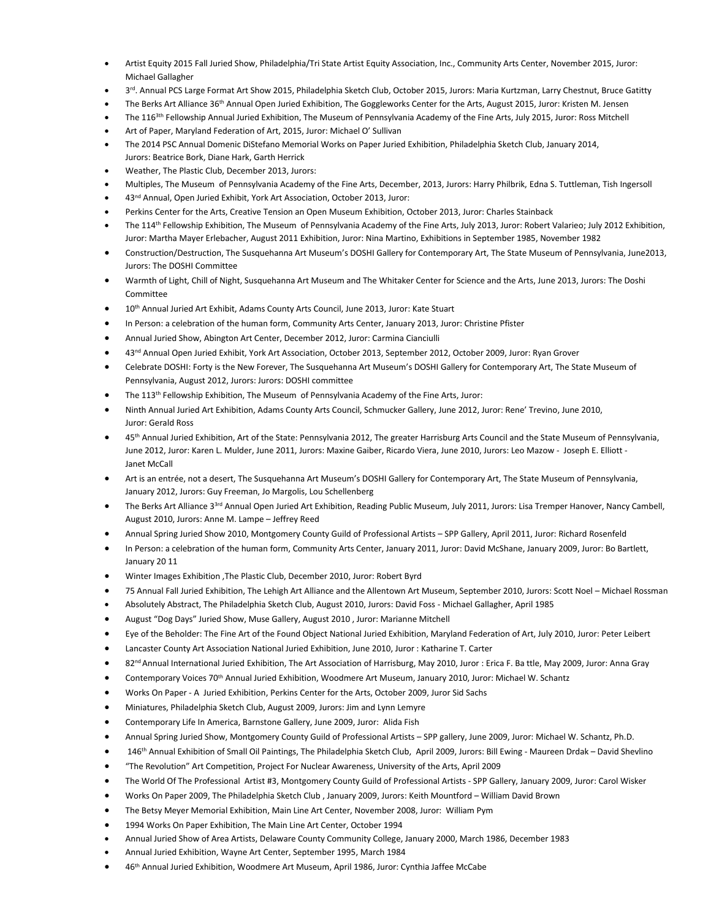- Artist Equity 2015 Fall Juried Show, Philadelphia/Tri State Artist Equity Association, Inc., Community Arts Center, November 2015, Juror: Michael Gallagher
- 3<sup>rd</sup>. Annual PCS Large Format Art Show 2015, Philadelphia Sketch Club, October 2015, Jurors: Maria Kurtzman, Larry Chestnut, Bruce Gatitty
- The Berks Art Alliance 36<sup>th</sup> Annual Open Juried Exhibition, The Goggleworks Center for the Arts, August 2015, Juror: Kristen M. Jensen
- The 116<sup>3th</sup> Fellowship Annual Juried Exhibition, The Museum of Pennsylvania Academy of the Fine Arts, July 2015, Juror: Ross Mitchell
- Art of Paper, Maryland Federation of Art, 2015, Juror: Michael O' Sullivan
- The 2014 PSC Annual Domenic DiStefano Memorial Works on Paper Juried Exhibition, Philadelphia Sketch Club, January 2014, Jurors: Beatrice Bork, Diane Hark, Garth Herrick
- Weather, The Plastic Club, December 2013, Jurors:
- Multiples, The Museum of Pennsylvania Academy of the Fine Arts, December, 2013, Jurors: Harry Philbrik, Edna S. Tuttleman, Tish Ingersoll
- 43<sup>nd</sup> Annual, Open Juried Exhibit, York Art Association, October 2013, Juror:
- Perkins Center for the Arts, Creative Tension an Open Museum Exhibition, October 2013, Juror: Charles Stainback
- The 114th Fellowship Exhibition, The Museum of Pennsylvania Academy of the Fine Arts, July 2013, Juror: Robert Valarieo; July 2012 Exhibition, Juror: Martha Mayer Erlebacher, August 2011 Exhibition, Juror: Nina Martino, Exhibitions in September 1985, November 1982
- Construction/Destruction, The Susquehanna Art Museum's DOSHI Gallery for Contemporary Art, The State Museum of Pennsylvania, June2013, Jurors: The DOSHI Committee
- Warmth of Light, Chill of Night, Susquehanna Art Museum and The Whitaker Center for Science and the Arts, June 2013, Jurors: The Doshi Committee
- 10<sup>th</sup> Annual Juried Art Exhibit, Adams County Arts Council, June 2013, Juror: Kate Stuart
- In Person: a celebration of the human form, Community Arts Center, January 2013, Juror: Christine Pfister
- Annual Juried Show, Abington Art Center, December 2012, Juror: Carmina Cianciulli
- 43<sup>nd</sup> Annual Open Juried Exhibit, York Art Association, October 2013, September 2012, October 2009, Juror: Ryan Grover
- Celebrate DOSHI: Forty is the New Forever, The Susquehanna Art Museum's DOSHI Gallery for Contemporary Art, The State Museum of Pennsylvania, August 2012, Jurors: Jurors: DOSHI committee
- The 113th Fellowship Exhibition, The Museum of Pennsylvania Academy of the Fine Arts, Juror:
- Ninth Annual Juried Art Exhibition, Adams County Arts Council, Schmucker Gallery, June 2012, Juror: Rene' Trevino, June 2010, Juror: Gerald Ross
- <sup>45th</sup> Annual Juried Exhibition, Art of the State: Pennsylvania 2012, The greater Harrisburg Arts Council and the State Museum of Pennsylvania, June 2012, Juror: Karen L. Mulder, June 2011, Jurors: Maxine Gaiber, Ricardo Viera, June 2010, Jurors: Leo Mazow - Joseph E. Elliott - Janet McCall
- Art is an entrée, not a desert, The Susquehanna Art Museum's DOSHI Gallery for Contemporary Art, The State Museum of Pennsylvania, January 2012, Jurors: Guy Freeman, Jo Margolis, Lou Schellenberg
- The Berks Art Alliance 3<sup>3rd</sup> Annual Open Juried Art Exhibition, Reading Public Museum, July 2011, Jurors: Lisa Tremper Hanover, Nancy Cambell, August 2010, Jurors: Anne M. Lampe – Jeffrey Reed
- Annual Spring Juried Show 2010, Montgomery County Guild of Professional Artists SPP Gallery, April 2011, Juror: Richard Rosenfeld
- In Person: a celebration of the human form, Community Arts Center, January 2011, Juror: David McShane, January 2009, Juror: Bo Bartlett, January 20 11
- Winter Images Exhibition ,The Plastic Club, December 2010, Juror: Robert Byrd
- 75 Annual Fall Juried Exhibition, The Lehigh Art Alliance and the Allentown Art Museum, September 2010, Jurors: Scott Noel Michael Rossman
- Absolutely Abstract, The Philadelphia Sketch Club, August 2010, Jurors: David Foss Michael Gallagher, April 1985
- August "Dog Days" Juried Show, Muse Gallery, August 2010 , Juror: Marianne Mitchell
- Eye of the Beholder: The Fine Art of the Found Object National Juried Exhibition, Maryland Federation of Art, July 2010, Juror: Peter Leibert
- Lancaster County Art Association National Juried Exhibition, June 2010, Juror : Katharine T. Carter
- 82<sup>nd</sup> Annual International Juried Exhibition, The Art Association of Harrisburg, May 2010, Juror : Erica F. Ba ttle, May 2009, Juror: Anna Gray
- Contemporary Voices 70th Annual Juried Exhibition, Woodmere Art Museum, January 2010, Juror: Michael W. Schantz
- Works On Paper A Juried Exhibition, Perkins Center for the Arts, October 2009, Juror Sid Sachs
- Miniatures, Philadelphia Sketch Club, August 2009, Jurors: Jim and Lynn Lemyre
- Contemporary Life In America, Barnstone Gallery, June 2009, Juror: Alida Fish
- Annual Spring Juried Show, Montgomery County Guild of Professional Artists SPP gallery, June 2009, Juror: Michael W. Schantz, Ph.D.
- 146<sup>th</sup> Annual Exhibition of Small Oil Paintings, The Philadelphia Sketch Club, April 2009, Jurors: Bill Ewing Maureen Drdak David Shevlino
- "The Revolution" Art Competition, Project For Nuclear Awareness, University of the Arts, April 2009
- The World Of The Professional Artist #3, Montgomery County Guild of Professional Artists SPP Gallery, January 2009, Juror: Carol Wisker
- Works On Paper 2009, The Philadelphia Sketch Club , January 2009, Jurors: Keith Mountford William David Brown
- The Betsy Meyer Memorial Exhibition, Main Line Art Center, November 2008, Juror: William Pym
- 1994 Works On Paper Exhibition, The Main Line Art Center, October 1994
- Annual Juried Show of Area Artists, Delaware County Community College, January 2000, March 1986, December 1983
- Annual Juried Exhibition, Wayne Art Center, September 1995, March 1984
- 46<sup>th</sup> Annual Juried Exhibition, Woodmere Art Museum, April 1986, Juror: Cynthia Jaffee McCabe